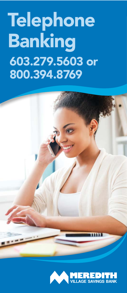# **Telephone** Banking 603.279.5603 or 800.394.8769



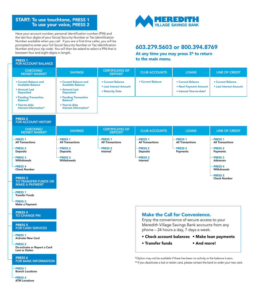#### START: To use touchtone, PRESS 1 To use your voice, PRESS 2

Have your account number, personal identification number (PIN) and the last four digits of your Social Security Number or Tax Identification Number available when you call. If you are a first-time caller, you will be prompted to enter your full Social Security Number or Tax Identification Number and your zip code. You will then be asked to select a PIN that is between four and eight digits in length.

#### PRESS 1 FOR ACCOUNT BALANCE

## **MEREDITH**<br>VILLAGE SAVINGS BANK

#### 603.279.5603 or 800.394.8769

At any time you may press 3\* to return to the main menu.

| <b>CHECKING/</b><br><b>MONEY MARKET</b>                                                | <b>SAVINGS</b>                                                                                       | <b>CERTIFICATES OF</b><br><b>DEPOSIT</b>                              | <b>CLUB ACCOUNTS</b>                                                                      | <b>LOANS</b>                                                                                                                                                                      | <b>LINE OF CREDIT</b>                              |  |
|----------------------------------------------------------------------------------------|------------------------------------------------------------------------------------------------------|-----------------------------------------------------------------------|-------------------------------------------------------------------------------------------|-----------------------------------------------------------------------------------------------------------------------------------------------------------------------------------|----------------------------------------------------|--|
| • Current Balance and<br><b>Available Balance</b><br>• Amount Last<br><b>Deposited</b> | <b>• Current Balance and</b><br><b>Available Balance</b><br><b>• Amount Last</b><br><b>Deposited</b> | <b>• Current Balance</b><br>• Last Interest Amount<br>• Maturity Date | <b>• Current Balance</b>                                                                  | <b>• Current Balance</b><br>• Next Payment Amount<br>· Interest Year-to-date*                                                                                                     | <b>• Current Balance</b><br>• Last Interest Amount |  |
| • Pending Transaction<br>Balance*                                                      | <b>• Pending Transaction</b><br>Balance*                                                             |                                                                       |                                                                                           |                                                                                                                                                                                   |                                                    |  |
| • Year-to-date<br>Interest Information*                                                | · Year-to-date<br>Interest Information*                                                              |                                                                       |                                                                                           |                                                                                                                                                                                   |                                                    |  |
| <b>PRESS 2</b><br><b>FOR ACCOUNT HISTORY</b>                                           |                                                                                                      |                                                                       |                                                                                           |                                                                                                                                                                                   |                                                    |  |
| <b>CHECKING/</b><br><b>MONEY MARKET</b>                                                | <b>SAVINGS</b>                                                                                       | <b>CERTIFICATES OF</b><br><b>DEPOSIT</b>                              | <b>CLUB ACCOUNTS</b>                                                                      | <b>LOANS</b>                                                                                                                                                                      | <b>LINE OF CREDIT</b>                              |  |
| PRESS <sub>1</sub><br><b>All Transactions</b>                                          | <b>PRESS 1</b><br><b>All Transactions</b>                                                            | PRESS <sub>1</sub><br><b>All Transactions</b>                         | <b>PRESS 1</b><br><b>All Transactions</b>                                                 | <b>PRESS 1</b><br><b>All Transactions</b>                                                                                                                                         | <b>PRESS 1</b><br><b>All Transactions</b>          |  |
| PRESS <sub>2</sub><br><b>Deposits</b>                                                  | <b>PRESS 2</b><br><b>Deposits</b>                                                                    | PRESS <sub>2</sub><br>Interest <sup>*</sup>                           | <b>PRESS 2</b><br>Deposits                                                                | <b>PRESS 2</b><br>Payments                                                                                                                                                        | <b>PRESS 2</b><br>Payments                         |  |
| <b>PRESS 3</b><br>Withdrawals                                                          | <b>PRESS 3</b><br><b>Withdrawals</b>                                                                 |                                                                       | <b>PRESS 3</b><br>Interest <sup>*</sup>                                                   |                                                                                                                                                                                   | <b>PRESS 3</b><br><b>Advances</b>                  |  |
| PRESS <sub>4</sub><br><b>Check Number</b>                                              |                                                                                                      |                                                                       |                                                                                           |                                                                                                                                                                                   | PRESS <sub>4</sub><br>Withdrawals                  |  |
| <b>PRESS 3</b><br><b>TO TRANSFER FUNDS OR</b><br><b>MAKE A PAYMENT</b>                 |                                                                                                      |                                                                       |                                                                                           |                                                                                                                                                                                   | <b>PRESS 5</b><br><b>Check Number</b>              |  |
| PRESS <sub>1</sub><br><b>Transfer Funds</b>                                            |                                                                                                      |                                                                       |                                                                                           |                                                                                                                                                                                   |                                                    |  |
| <b>PRESS 2</b><br>Make a Payment                                                       |                                                                                                      |                                                                       |                                                                                           |                                                                                                                                                                                   |                                                    |  |
| <b>PRESS 4</b><br><b>TO CHANGE PIN</b>                                                 |                                                                                                      |                                                                       | <b>Make the Call for Convenience.</b><br>Enjoy the convenience of secure access to your   |                                                                                                                                                                                   |                                                    |  |
| <b>PRESS 5</b><br><b>FOR CARD SERVICES</b>                                             |                                                                                                      |                                                                       | Meredith Village Savings Bank accounts from any<br>phone - 24 hours a day, 7 days a week. |                                                                                                                                                                                   |                                                    |  |
| PRESS <sub>1</sub><br><b>Activate New Card</b>                                         |                                                                                                      |                                                                       | • Check account balances • Make loan payments                                             |                                                                                                                                                                                   |                                                    |  |
| <b>PRESS 2</b><br>De-activate or Report a Card<br>Lost or Stolen                       |                                                                                                      |                                                                       | • Transfer funds                                                                          | • And more!                                                                                                                                                                       |                                                    |  |
| PRESS 6<br><b>FOR BANK INFORMATION</b>                                                 |                                                                                                      |                                                                       |                                                                                           | *Option may not be available if there has been no activity or the balance is zero.<br>** If you deactivate a lost or stolen card, please contact the bank to order your new card. |                                                    |  |
| <b>PRESS 1</b><br><b>Branch Locations</b>                                              |                                                                                                      |                                                                       |                                                                                           |                                                                                                                                                                                   |                                                    |  |

PRESS 2 ATM Locations